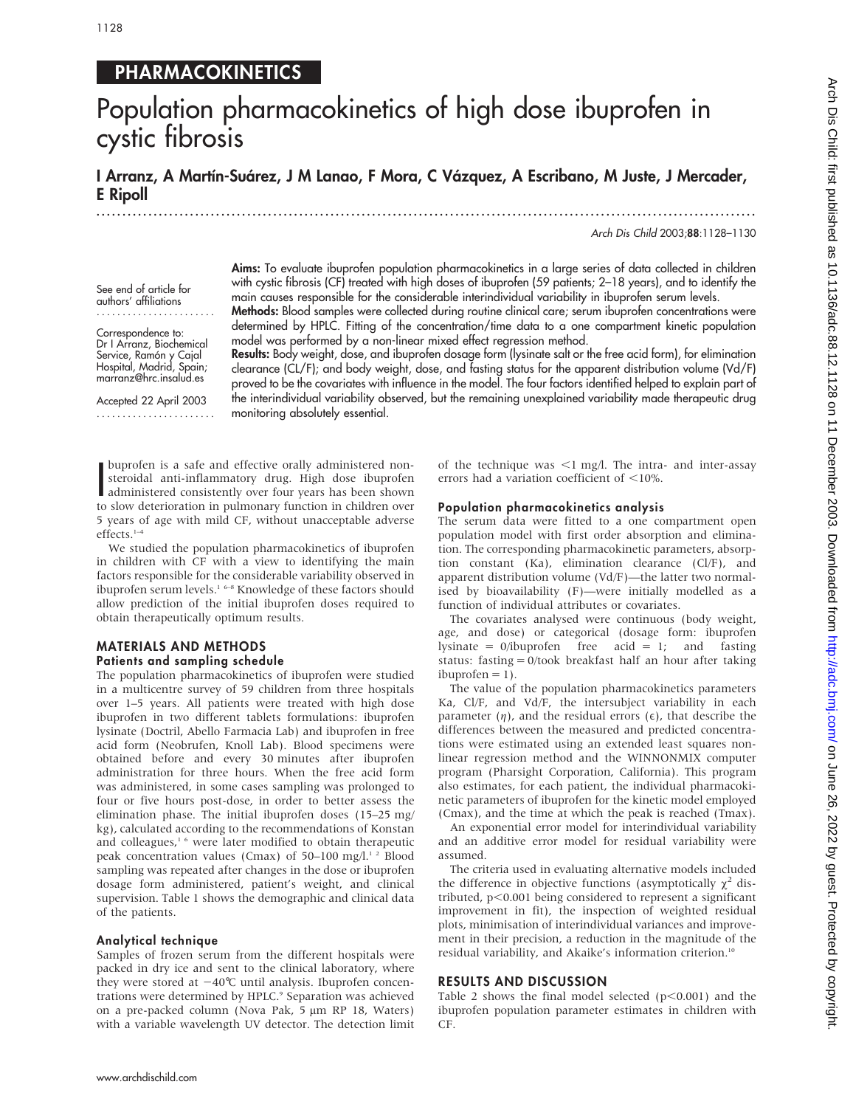See end of article for authors' affiliations ....................... Correspondence to: Dr I Arranz, Biochemical Service, Ramón y Cajal Hospital, Madrid, Spain; marranz@hrc.insalud.es Accepted 22 April 2003 .......................

## PHARMACOKINETICS

# Population pharmacokinetics of high dose ibuprofen in cystic fibrosis

I Arranz, A Martín-Suárez, J M Lanao, F Mora, C Vázquez, A Escribano, M Juste, J Mercader, E Ripoll

.............................................................................................................................. .

Arch Dis Child 2003;88:1128–1130

Aims: To evaluate ibuprofen population pharmacokinetics in a large series of data collected in children with cystic fibrosis (CF) treated with high doses of ibuprofen (59 patients; 2–18 years), and to identify the main causes responsible for the considerable interindividual variability in ibuprofen serum levels.

Methods: Blood samples were collected during routine clinical care; serum ibuprofen concentrations were determined by HPLC. Fitting of the concentration/time data to a one compartment kinetic population model was performed by a non-linear mixed effect regression method.

Results: Body weight, dose, and ibuprofen dosage form (lysinate salt or the free acid form), for elimination clearance (CL/F); and body weight, dose, and fasting status for the apparent distribution volume (Vd/F) proved to be the covariates with influence in the model. The four factors identified helped to explain part of the interindividual variability observed, but the remaining unexplained variability made therapeutic drug monitoring absolutely essential.

buproten is a sate and effective orally administered non-<br>steroidal anti-inflammatory drug. High dose ibuprofen<br>administered consistently over four years has been shown<br>to slow deterioration in pulmonary function in childr buprofen is a safe and effective orally administered nonsteroidal anti-inflammatory drug. High dose ibuprofen to slow deterioration in pulmonary function in children over 5 years of age with mild CF, without unacceptable adverse effects.1–4

We studied the population pharmacokinetics of ibuprofen in children with CF with a view to identifying the main factors responsible for the considerable variability observed in ibuprofen serum levels.1 6–8 Knowledge of these factors should allow prediction of the initial ibuprofen doses required to obtain therapeutically optimum results.

#### MATERIALS AND METHODS Patients and sampling schedule

The population pharmacokinetics of ibuprofen were studied in a multicentre survey of 59 children from three hospitals over 1–5 years. All patients were treated with high dose ibuprofen in two different tablets formulations: ibuprofen lysinate (Doctril, Abello Farmacia Lab) and ibuprofen in free acid form (Neobrufen, Knoll Lab). Blood specimens were obtained before and every 30 minutes after ibuprofen administration for three hours. When the free acid form was administered, in some cases sampling was prolonged to four or five hours post-dose, in order to better assess the elimination phase. The initial ibuprofen doses (15–25 mg/ kg), calculated according to the recommendations of Konstan and colleagues,<sup>16</sup> were later modified to obtain therapeutic peak concentration values (Cmax) of  $50-100$  mg/l.<sup>12</sup> Blood sampling was repeated after changes in the dose or ibuprofen dosage form administered, patient's weight, and clinical supervision. Table 1 shows the demographic and clinical data of the patients.

#### Analytical technique

Samples of frozen serum from the different hospitals were packed in dry ice and sent to the clinical laboratory, where they were stored at  $-40^{\circ}$ C until analysis. Ibuprofen concentrations were determined by HPLC.<sup>9</sup> Separation was achieved on a pre-packed column (Nova Pak,  $5 \mu m$  RP 18, Waters) with a variable wavelength UV detector. The detection limit of the technique was  $\leq$ 1 mg/l. The intra- and inter-assay errors had a variation coefficient of  $<$ 10%.

#### Population pharmacokinetics analysis

The serum data were fitted to a one compartment open population model with first order absorption and elimination. The corresponding pharmacokinetic parameters, absorption constant (Ka), elimination clearance (Cl/F), and apparent distribution volume (Vd/F)—the latter two normalised by bioavailability (F)—were initially modelled as a function of individual attributes or covariates.

The covariates analysed were continuous (body weight, age, and dose) or categorical (dosage form: ibuprofen lysinate = 0/ibuprofen free acid = 1; and fasting status: fasting = 0/took breakfast half an hour after taking  $ibu$ <sub>profen</sub> = 1).

The value of the population pharmacokinetics parameters Ka, Cl/F, and Vd/F, the intersubject variability in each parameter  $(\eta)$ , and the residual errors ( $\epsilon$ ), that describe the differences between the measured and predicted concentrations were estimated using an extended least squares nonlinear regression method and the WINNONMIX computer program (Pharsight Corporation, California). This program also estimates, for each patient, the individual pharmacokinetic parameters of ibuprofen for the kinetic model employed (Cmax), and the time at which the peak is reached (Tmax).

An exponential error model for interindividual variability and an additive error model for residual variability were assumed.

The criteria used in evaluating alternative models included the difference in objective functions (asymptotically  $\chi^2$  distributed,  $p<0.001$  being considered to represent a significant improvement in fit), the inspection of weighted residual plots, minimisation of interindividual variances and improvement in their precision, a reduction in the magnitude of the residual variability, and Akaike's information criterion.<sup>10</sup>

### RESULTS AND DISCUSSION

Table 2 shows the final model selected  $(p<0.001)$  and the ibuprofen population parameter estimates in children with CF.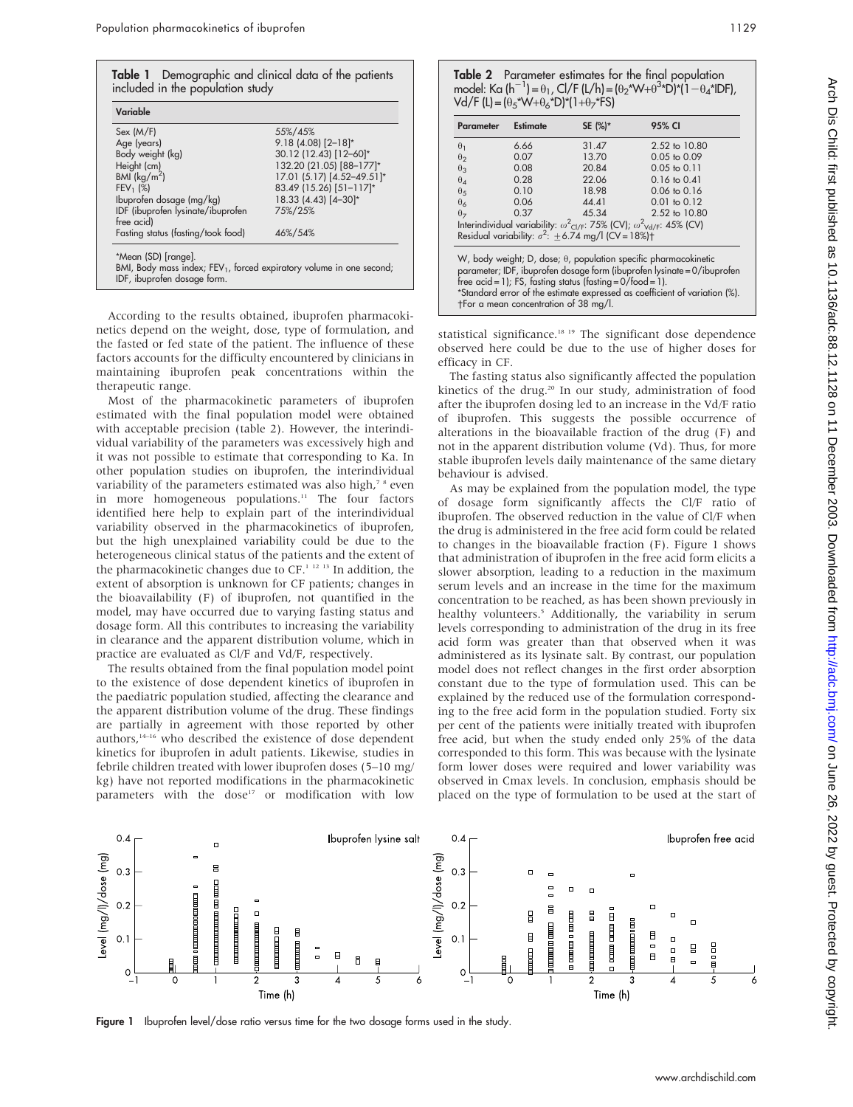| Variable                           |                            |  |
|------------------------------------|----------------------------|--|
| Sex (M/F)                          | 55%/45%                    |  |
| Age (years)                        | $9.18(4.08)[2-18]*$        |  |
| Body weight (kg)                   | 30.12 (12.43) [12-60]*     |  |
| Height (cm)                        | 132.20 (21.05) [88-177]*   |  |
| BMI $(kq/m2)$                      | 17.01 (5.17) [4.52-49.51]* |  |
| $FEV_1$ (%)                        | 83.49 (15.26) [51-117]*    |  |
| Ibuprofen dosage (mg/kg)           | 18.33 (4.43) [4-30]*       |  |
| IDF (ibuprofen lysinate/ibuprofen  | 75%/25%                    |  |
| free acid)                         |                            |  |
| Fasting status (fasting/took food) | 46%/54%                    |  |

According to the results obtained, ibuprofen pharmacokinetics depend on the weight, dose, type of formulation, and the fasted or fed state of the patient. The influence of these factors accounts for the difficulty encountered by clinicians in maintaining ibuprofen peak concentrations within the therapeutic range.

Most of the pharmacokinetic parameters of ibuprofen estimated with the final population model were obtained with acceptable precision (table 2). However, the interindividual variability of the parameters was excessively high and it was not possible to estimate that corresponding to Ka. In other population studies on ibuprofen, the interindividual variability of the parameters estimated was also high,<sup>7</sup> <sup>8</sup> even in more homogeneous populations.<sup>11</sup> The four factors identified here help to explain part of the interindividual variability observed in the pharmacokinetics of ibuprofen, but the high unexplained variability could be due to the heterogeneous clinical status of the patients and the extent of the pharmacokinetic changes due to CF.<sup>1 12 13</sup> In addition, the extent of absorption is unknown for CF patients; changes in the bioavailability (F) of ibuprofen, not quantified in the model, may have occurred due to varying fasting status and dosage form. All this contributes to increasing the variability in clearance and the apparent distribution volume, which in practice are evaluated as Cl/F and Vd/F, respectively.

The results obtained from the final population model point to the existence of dose dependent kinetics of ibuprofen in the paediatric population studied, affecting the clearance and the apparent distribution volume of the drug. These findings are partially in agreement with those reported by other authors,14–16 who described the existence of dose dependent kinetics for ibuprofen in adult patients. Likewise, studies in febrile children treated with lower ibuprofen doses (5–10 mg/ kg) have not reported modifications in the pharmacokinetic parameters with the dose<sup>17</sup> or modification with low

| Table 2 Parameter estimates for the final population                                                   |
|--------------------------------------------------------------------------------------------------------|
| model: Ka $(h^{-1}) = \theta_1$ , Cl/F $(L/h) = (\theta_2^* W + \theta_3^* D)^* (1 - \theta_4^* D)F$ , |
| $Vd/F (L) = (\theta_5*W + \theta_6*D)*(1+\theta_7*FS)$                                                 |

| <b>Parameter</b>                                                                                                                                                                                                                                                                                                                                    | <b>Estimate</b> | SE (%)* | 95% CI                  |  |
|-----------------------------------------------------------------------------------------------------------------------------------------------------------------------------------------------------------------------------------------------------------------------------------------------------------------------------------------------------|-----------------|---------|-------------------------|--|
| $\theta_1$                                                                                                                                                                                                                                                                                                                                          | 6.66            | 31.47   | 2.52 to 10.80           |  |
| $\theta$                                                                                                                                                                                                                                                                                                                                            | 0.07            | 13.70   | $0.05$ to $0.09$        |  |
| $\theta_3$                                                                                                                                                                                                                                                                                                                                          | 0.08            | 20.84   | $0.05$ to $0.11$        |  |
| $\theta_{4}$                                                                                                                                                                                                                                                                                                                                        | 0.28            | 22.06   | $0.16 \text{ to } 0.41$ |  |
| $\theta$ <sub>5</sub>                                                                                                                                                                                                                                                                                                                               | 0.10            | 18.98   | $0.06 \text{ to } 0.16$ |  |
| $\theta_6$                                                                                                                                                                                                                                                                                                                                          | 0.06            | 44.41   | $0.01$ to $0.12$        |  |
| $\theta$                                                                                                                                                                                                                                                                                                                                            | 0.37            | 45.34   | 2.52 to 10.80           |  |
| Interindividual variability: $\omega^2$ <sub>Cl/F</sub> : 75% (CV); $\omega^2$ <sub>Vd/F</sub> : 45% (CV)<br>Residual variability: $\sigma^2$ : $\pm$ 6.74 mg/l (CV = 18%) <sup>+</sup>                                                                                                                                                             |                 |         |                         |  |
| W, body weight; D, dose; $\theta$ , population specific pharmacokinetic<br>parameter; IDF, ibuprofen dosage form (ibuprofen lysinate = 0/ibuprofen<br>free $\alpha$ cid = 1); FS, fasting status (fasting = $0$ /food = 1).<br>*Standard error of the estimate expressed as coefficient of variation (%).<br>the r a mean concentration of 38 mg/l. |                 |         |                         |  |

statistical significance.<sup>18 19</sup> The significant dose dependence observed here could be due to the use of higher doses for efficacy in CF.

The fasting status also significantly affected the population kinetics of the drug.<sup>20</sup> In our study, administration of food after the ibuprofen dosing led to an increase in the Vd/F ratio of ibuprofen. This suggests the possible occurrence of alterations in the bioavailable fraction of the drug (F) and not in the apparent distribution volume (Vd). Thus, for more stable ibuprofen levels daily maintenance of the same dietary behaviour is advised.

As may be explained from the population model, the type of dosage form significantly affects the Cl/F ratio of ibuprofen. The observed reduction in the value of Cl/F when the drug is administered in the free acid form could be related to changes in the bioavailable fraction (F). Figure 1 shows that administration of ibuprofen in the free acid form elicits a slower absorption, leading to a reduction in the maximum serum levels and an increase in the time for the maximum concentration to be reached, as has been shown previously in healthy volunteers.<sup>5</sup> Additionally, the variability in serum levels corresponding to administration of the drug in its free acid form was greater than that observed when it was administered as its lysinate salt. By contrast, our population model does not reflect changes in the first order absorption constant due to the type of formulation used. This can be explained by the reduced use of the formulation corresponding to the free acid form in the population studied. Forty six per cent of the patients were initially treated with ibuprofen free acid, but when the study ended only 25% of the data corresponded to this form. This was because with the lysinate form lower doses were required and lower variability was observed in Cmax levels. In conclusion, emphasis should be placed on the type of formulation to be used at the start of



Figure 1 Ibuprofen level/dose ratio versus time for the two dosage forms used in the study.